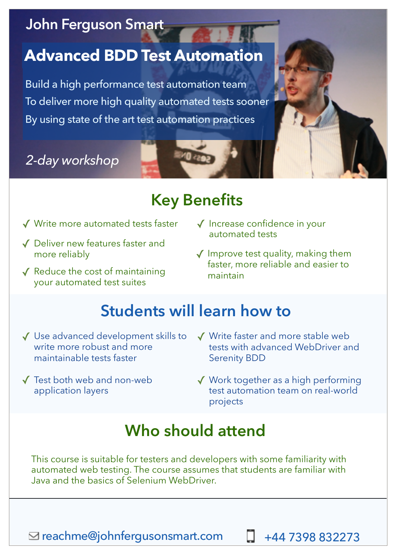### **John Ferguson Smart**

## **Advanced BDD Test Automation**

Build a high performance test automation team To deliver more high quality automated tests sooner By using state of the art test automation practices

## *2-day workshop*

# **Key Benefits**

- ✓ Write more automated tests faster ✓ Increase confidence in your
- ✓ Deliver new features faster and more reliably
- ✓ Reduce the cost of maintaining your automated test suites
- automated tests
- ✓ Improve test quality, making them faster, more reliable and easier to maintain

## **Students will learn how to**

- ✓ Use advanced development skills to write more robust and more maintainable tests faster
- ✓ Test both web and non-web application layers
- ✓ Write faster and more stable web tests with advanced WebDriver and Serenity BDD
- ✓ Work together as a high performing test automation team on real-world projects

## **Who should attend**

This course is suitable for testers and developers with some familiarity with automated web testing. The course assumes that students are familiar with Java and the basics of Selenium WebDriver.

[reachme@johnfergusonsmart.com](mailto:reachme@johnfergusonsmart.com?subject=Tell%20me%20more%20about%20)

+44 7398 832273